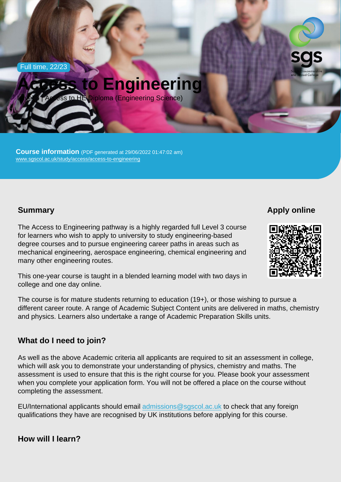Full time, 22/23

# Access to Engineering

Level 3 | Access to HE Diploma (Engineering Science)

Course information (PDF generated at 29/06/2022 01:47:02 am) [www.sgscol.ac.uk/study/access/access-to-engineering](https://www.sgscol.ac.uk/study/access/access-to-engineering)

## **Summary**

Apply online

The Access to Engineering pathway is a highly regarded full Level 3 course for learners who wish to apply to university to study engineering-based degree courses and to pursue engineering career paths in areas such as mechanical engineering, aerospace engineering, chemical engineering and many other engineering routes.

This one-year course is taught in a blended learning model with two days in college and one day online.

The course is for mature students returning to education (19+), or those wishing to pursue a different career route. A range of Academic Subject Content units are delivered in maths, chemistry and physics. Learners also undertake a range of Academic Preparation Skills units.

### What do I need to join?

As well as the above Academic criteria all applicants are required to sit an assessment in college, which will ask you to demonstrate your understanding of physics, chemistry and maths. The assessment is used to ensure that this is the right course for you. Please book your assessment when you complete your application form. You will not be offered a place on the course without completing the assessment.

EU/International applicants should email [admissions@sgscol.ac.uk](mailto:admissions@sgscol.ac.uk) to check that any foreign qualifications they have are recognised by UK institutions before applying for this course.

How will I learn?